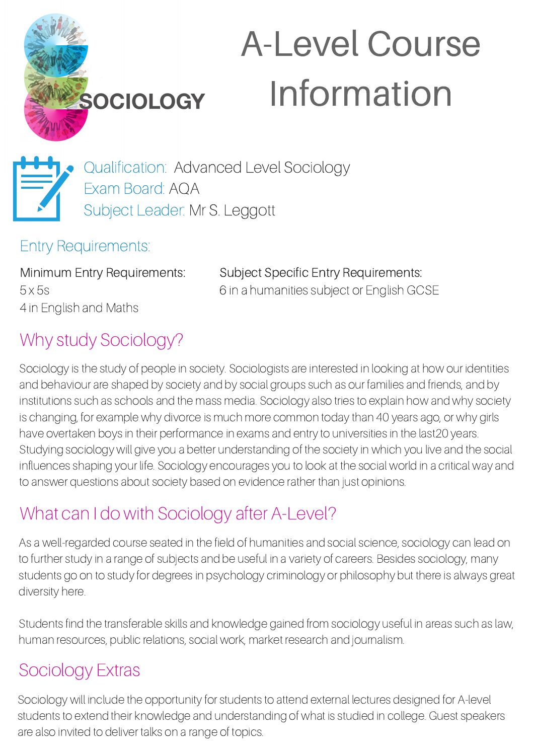

# A-Level Course Information



Qualification: Advanced Level Sociology Exam Board: AQA Subject Leader: Mr S. Leggott

Entry Requirements:

Minimum Entry Requirements: 5 x 5s 4 in English and Maths

Subject Specific Entry Requirements: 6 in a humanities subject or English GCSE

## Why study Sociology?

Sociology is the study of people in society. Sociologists are interested in looking at how our identities and behaviour are shaped by society and by social groups such as our families and friends, and by institutions such as schools and the mass media. Sociology also tries to explain how and why society is changing, for example why divorce is much more common today than 40 years ago, or why girls have overtaken boys in their performance in exams and entry to universities in the last20 years. Studying sociology will give you a better understanding of the society in which you live and the social influences shaping your life. Sociology encourages you to look at the social world in a critical way and to answer questions about society based on evidence rather than just opinions.

## What can I do with Sociology after A-Level?

As a well-regarded course seated in the field of humanities and social science, sociology can lead on to further study in a range of subjects and be useful in a variety of careers. Besides sociology, many students go on to study for degrees in psychology criminology or philosophy but there is always great diversity here.

Students find the transferable skills and knowledge gained from sociology useful in areas such as law, human resources, public relations, social work, market research and journalism.

## Sociology Extras

Sociology will include the opportunity for students to attend external lectures designed for A-level students to extend their knowledge and understanding of what is studied in college. Guest speakers are also invited to deliver talks on a range of topics.